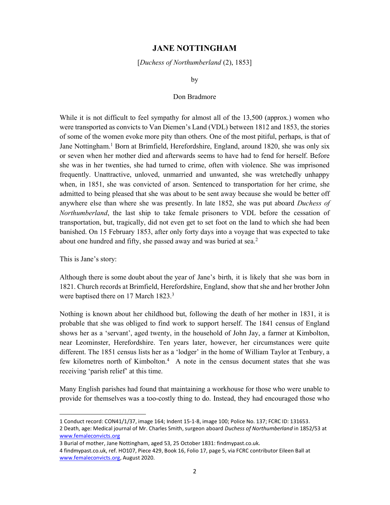## JANE NOTTINGHAM

[Duchess of Northumberland (2), 1853]

by

## Don Bradmore

While it is not difficult to feel sympathy for almost all of the 13,500 (approx.) women who were transported as convicts to Van Diemen's Land (VDL) between 1812 and 1853, the stories of some of the women evoke more pity than others. One of the most pitiful, perhaps, is that of Jane Nottingham.<sup>1</sup> Born at Brimfield, Herefordshire, England, around 1820, she was only six or seven when her mother died and afterwards seems to have had to fend for herself. Before she was in her twenties, she had turned to crime, often with violence. She was imprisoned frequently. Unattractive, unloved, unmarried and unwanted, she was wretchedly unhappy when, in 1851, she was convicted of arson. Sentenced to transportation for her crime, she admitted to being pleased that she was about to be sent away because she would be better off anywhere else than where she was presently. In late 1852, she was put aboard Duchess of Northumberland, the last ship to take female prisoners to VDL before the cessation of transportation, but, tragically, did not even get to set foot on the land to which she had been banished. On 15 February 1853, after only forty days into a voyage that was expected to take about one hundred and fifty, she passed away and was buried at sea.<sup>2</sup>

This is Jane's story:

-

Although there is some doubt about the year of Jane's birth, it is likely that she was born in 1821. Church records at Brimfield, Herefordshire, England, show that she and her brother John were baptised there on 17 March 1823.<sup>3</sup>

Nothing is known about her childhood but, following the death of her mother in 1831, it is probable that she was obliged to find work to support herself. The 1841 census of England shows her as a 'servant', aged twenty, in the household of John Jay, a farmer at Kimbolton, near Leominster, Herefordshire. Ten years later, however, her circumstances were quite different. The 1851 census lists her as a 'lodger' in the home of William Taylor at Tenbury, a few kilometres north of Kimbolton.<sup>4</sup> A note in the census document states that she was receiving 'parish relief' at this time.

Many English parishes had found that maintaining a workhouse for those who were unable to provide for themselves was a too-costly thing to do. Instead, they had encouraged those who

1 Conduct record: CON41/1/37, image 164; Indent 15-1-8, image 100; Police No. 137; FCRC ID: 131653. 2 Death, age: Medical journal of Mr. Charles Smith, surgeon aboard Duchess of Northumberland in 1852/53 at www.femaleconvicts.org

<sup>3</sup> Burial of mother, Jane Nottingham, aged 53, 25 October 1831: findmypast.co.uk.

<sup>4</sup> findmypast.co.uk, ref. HO107, Piece 429, Book 16, Folio 17, page 5, via FCRC contributor Eileen Ball at www.femaleconvicts.org, August 2020.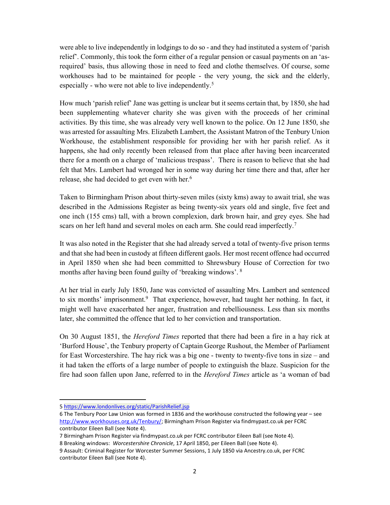were able to live independently in lodgings to do so - and they had instituted a system of 'parish relief'. Commonly, this took the form either of a regular pension or casual payments on an 'asrequired' basis, thus allowing those in need to feed and clothe themselves. Of course, some workhouses had to be maintained for people - the very young, the sick and the elderly, especially - who were not able to live independently.<sup>5</sup>

How much 'parish relief' Jane was getting is unclear but it seems certain that, by 1850, she had been supplementing whatever charity she was given with the proceeds of her criminal activities. By this time, she was already very well known to the police. On 12 June 1850, she was arrested for assaulting Mrs. Elizabeth Lambert, the Assistant Matron of the Tenbury Union Workhouse, the establishment responsible for providing her with her parish relief. As it happens, she had only recently been released from that place after having been incarcerated there for a month on a charge of 'malicious trespass'. There is reason to believe that she had felt that Mrs. Lambert had wronged her in some way during her time there and that, after her release, she had decided to get even with her.<sup>6</sup>

Taken to Birmingham Prison about thirty-seven miles (sixty kms) away to await trial, she was described in the Admissions Register as being twenty-six years old and single, five feet and one inch (155 cms) tall, with a brown complexion, dark brown hair, and grey eyes. She had scars on her left hand and several moles on each arm. She could read imperfectly.<sup>7</sup>

It was also noted in the Register that she had already served a total of twenty-five prison terms and that she had been in custody at fifteen different gaols. Her most recent offence had occurred in April 1850 when she had been committed to Shrewsbury House of Correction for two months after having been found guilty of 'breaking windows'. <sup>8</sup>

At her trial in early July 1850, Jane was convicted of assaulting Mrs. Lambert and sentenced to six months' imprisonment.<sup>9</sup> That experience, however, had taught her nothing. In fact, it might well have exacerbated her anger, frustration and rebelliousness. Less than six months later, she committed the offence that led to her conviction and transportation.

On 30 August 1851, the *Hereford Times* reported that there had been a fire in a hay rick at 'Burford House', the Tenbury property of Captain George Rushout, the Member of Parliament for East Worcestershire. The hay rick was a big one - twenty to twenty-five tons in size – and it had taken the efforts of a large number of people to extinguish the blaze. Suspicion for the fire had soon fallen upon Jane, referred to in the *Hereford Times* article as 'a woman of bad

1

<sup>5</sup> https://www.londonlives.org/static/ParishRelief.jsp

<sup>6</sup> The Tenbury Poor Law Union was formed in 1836 and the workhouse constructed the following year – see http://www.workhouses.org.uk/Tenbury/; Birmingham Prison Register via findmypast.co.uk per FCRC contributor Eileen Ball (see Note 4).

<sup>7</sup> Birmingham Prison Register via findmypast.co.uk per FCRC contributor Eileen Ball (see Note 4).

<sup>8</sup> Breaking windows: Worcestershire Chronicle, 17 April 1850, per Eileen Ball (see Note 4).

<sup>9</sup> Assault: Criminal Register for Worcester Summer Sessions, 1 July 1850 via Ancestry.co.uk, per FCRC contributor Eileen Ball (see Note 4).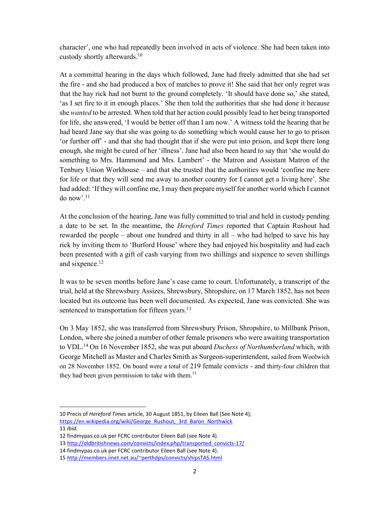character', one who had repeatedly been involved in acts of violence. She had been taken into custody shortly afterwards.<sup>10</sup>

At a committal hearing in the days which followed, Jane had freely admitted that she had set the fire - and she had produced a box of matches to prove it! She said that her only regret was that the hay rick had not burnt to the ground completely. 'It should have done so,' she stated, 'as I set fire to it in enough places.' She then told the authorities that she had done it because she wanted to be arrested. When told that her action could possibly lead to her being transported for life, she answered, 'I would be better off than I am now.' A witness told the hearing that he had heard Jane say that she was going to do something which would cause her to go to prison 'or further off' - and that she had thought that if she were put into prison, and kept there long enough, she might be cured of her 'illness'. Jane had also been heard to say that 'she would do something to Mrs. Hammond and Mrs. Lambert' - the Matron and Assistant Matron of the Tenbury Union Workhouse – and that she trusted that the authorities would 'confine me here for life or that they will send me away to another country for I cannot get a living here'. She had added: 'If they will confine me, I may then prepare myself for another world which I cannot do now'.<sup>11</sup>

At the conclusion of the hearing, Jane was fully committed to trial and held in custody pending a date to be set. In the meantime, the Hereford Times reported that Captain Rushout had rewarded the people – about one hundred and thirty in all – who had helped to save his hay rick by inviting them to 'Burford House' where they had enjoyed his hospitality and had each been presented with a gift of cash varying from two shillings and sixpence to seven shillings and sixpence.<sup>12</sup>

It was to be seven months before Jane's case came to court. Unfortunately, a transcript of the trial, held at the Shrewsbury Assizes, Shrewsbury, Shropshire, on 17 March 1852, has not been located but its outcome has been well documented. As expected, Jane was convicted. She was sentenced to transportation for fifteen years.<sup>13</sup>

On 3 May 1852, she was transferred from Shrewsbury Prison, Shropshire, to Millbank Prison, London, where she joined a number of other female prisoners who were awaiting transportation to VDL.<sup>14</sup> On 16 November 1852, she was put aboard *Duchess of Northumberland* which, with George Mitchell as Master and Charles Smith as Surgeon-superintendent, sailed from Woolwich on 28 November 1852. On board were a total of 219 female convicts - and thirty-four children that they had been given permission to take with them.<sup>15</sup>

-

<sup>10</sup> Precis of Hereford Times article, 30 August 1851, by Eileen Ball (See Note 4); https://en.wikipedia.org/wiki/George\_Rushout,\_3rd\_Baron\_Northwick

<sup>11</sup> Ibid.

<sup>12</sup> findmypas.co.uk per FCRC contributor Eileen Ball (see Note 4).

<sup>13</sup> http://oldbritishnews.com/convicts/index.php/transported\_convicts-17/

<sup>14</sup> findmypas.co.uk per FCRC contributor Eileen Ball (see Note 4).

<sup>15</sup> http://members.iinet.net.au/~perthdps/convicts/shipsTAS.html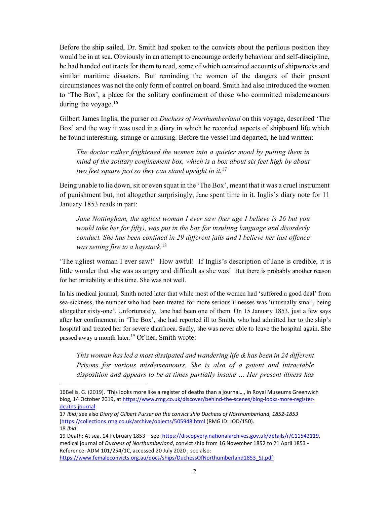Before the ship sailed, Dr. Smith had spoken to the convicts about the perilous position they would be in at sea. Obviously in an attempt to encourage orderly behaviour and self-discipline, he had handed out tracts for them to read, some of which contained accounts of shipwrecks and similar maritime disasters. But reminding the women of the dangers of their present circumstances was not the only form of control on board. Smith had also introduced the women to 'The Box', a place for the solitary confinement of those who committed misdemeanours during the voyage.<sup>16</sup>

Gilbert James Inglis, the purser on *Duchess of Northumberland* on this voyage, described 'The Box' and the way it was used in a diary in which he recorded aspects of shipboard life which he found interesting, strange or amusing. Before the vessel had departed, he had written:

The doctor rather frightened the women into a quieter mood by putting them in mind of the solitary confinement box, which is a box about six feet high by about two feet square just so they can stand upright in it.<sup>17</sup>

Being unable to lie down, sit or even squat in the 'The Box', meant that it was a cruel instrument of punishment but, not altogether surprisingly, Jane spent time in it. Inglis's diary note for 11 January 1853 reads in part:

Jane Nottingham, the ugliest woman I ever saw (her age I believe is 26 but you would take her for fifty), was put in the box for insulting language and disorderly conduct. She has been confined in 29 different jails and I believe her last offence was setting fire to a haystack.<sup>18</sup>

'The ugliest woman I ever saw!' How awful! If Inglis's description of Jane is credible, it is little wonder that she was as angry and difficult as she was! But there is probably another reason for her irritability at this time. She was not well.

In his medical journal, Smith noted later that while most of the women had 'suffered a good deal' from sea-sickness, the number who had been treated for more serious illnesses was 'unusually small, being altogether sixty-one'. Unfortunately, Jane had been one of them. On 15 January 1853, just a few says after her confinement in 'The Box', she had reported ill to Smith, who had admitted her to the ship's hospital and treated her for severe diarrhoea. Sadly, she was never able to leave the hospital again. She passed away a month later.<sup>19</sup> Of her, Smith wrote:

This woman has led a most dissipated and wandering life & has been in 24 different Prisons for various misdemeanours. She is also of a potent and intractable disposition and appears to be at times partially insane … Her present illness has

1

<sup>16</sup>Bellis, G. (2019). 'This looks more like a register of deaths than a journal…, in Royal Museums Greenwich blog, 14 October 2019, at https://www.rmg.co.uk/discover/behind-the-scenes/blog-looks-more-registerdeaths-journal

<sup>17</sup> Ibid; see also Diary of Gilbert Purser on the convict ship Duchess of Northumberland, 1852-1853 (https://collections.rmg.co.uk/archive/objects/505948.html (RMG ID: JOD/150). 18 Ibid

<sup>19</sup> Death: At sea, 14 February 1853 – see: https://discopvery.nationalarchives.gov.uk/details/r/C11542119, medical journal of Duchess of Northumberland, convict ship from 16 November 1852 to 21 April 1853 -Reference: ADM 101/254/1C, accessed 20 July 2020 ; see also: https://www.femaleconvicts.org.au/docs/ships/DuchessOfNorthumberland1853\_SJ.pdf;